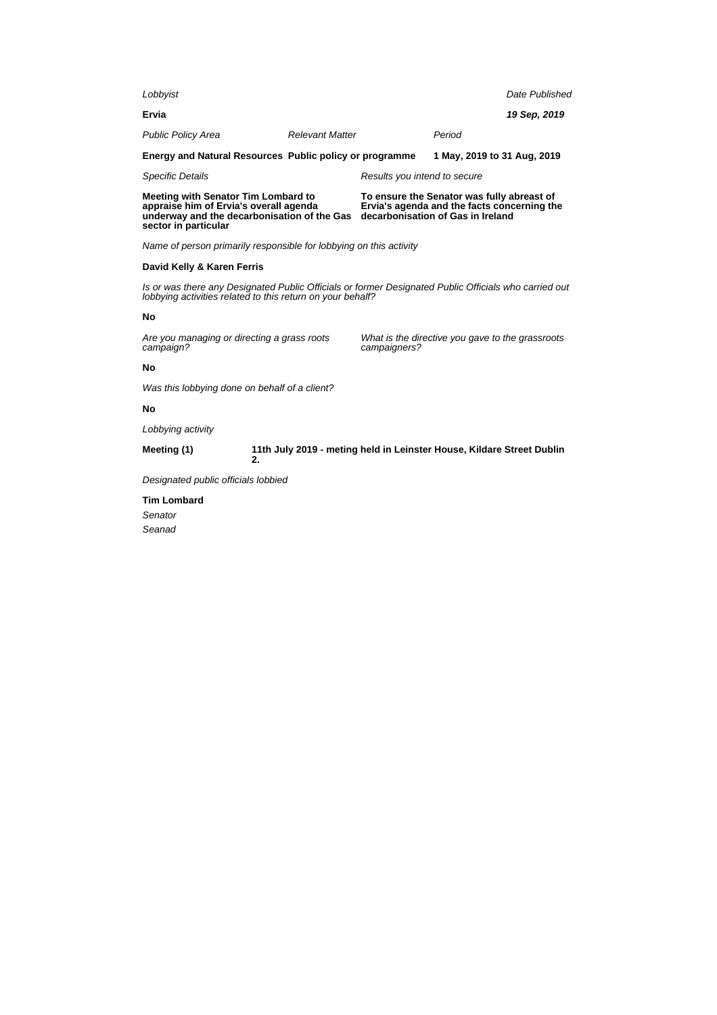| Lobbyist                                                                                                                                             |                                                                                                                                                                     |                              |                                                  | Date Published |  |
|------------------------------------------------------------------------------------------------------------------------------------------------------|---------------------------------------------------------------------------------------------------------------------------------------------------------------------|------------------------------|--------------------------------------------------|----------------|--|
| Ervia                                                                                                                                                |                                                                                                                                                                     |                              |                                                  | 19 Sep, 2019   |  |
| <b>Public Policy Area</b>                                                                                                                            | <b>Relevant Matter</b>                                                                                                                                              |                              | Period                                           |                |  |
| Energy and Natural Resources Public policy or programme                                                                                              |                                                                                                                                                                     |                              | 1 May, 2019 to 31 Aug, 2019                      |                |  |
| <b>Specific Details</b>                                                                                                                              |                                                                                                                                                                     | Results you intend to secure |                                                  |                |  |
| Meeting with Senator Tim Lombard to<br>appraise him of Ervia's overall agenda<br>underway and the decarbonisation of the Gas<br>sector in particular | To ensure the Senator was fully abreast of<br>Ervia's agenda and the facts concerning the<br>decarbonisation of Gas in Ireland                                      |                              |                                                  |                |  |
| Name of person primarily responsible for lobbying on this activity                                                                                   |                                                                                                                                                                     |                              |                                                  |                |  |
| David Kelly & Karen Ferris                                                                                                                           |                                                                                                                                                                     |                              |                                                  |                |  |
|                                                                                                                                                      | Is or was there any Designated Public Officials or former Designated Public Officials who carried out<br>lobbying activities related to this return on your behalf? |                              |                                                  |                |  |
| No                                                                                                                                                   |                                                                                                                                                                     |                              |                                                  |                |  |
| Are you managing or directing a grass roots<br>campaign?                                                                                             |                                                                                                                                                                     | campaigners?                 | What is the directive you gave to the grassroots |                |  |
| No                                                                                                                                                   |                                                                                                                                                                     |                              |                                                  |                |  |
| Was this lobbying done on behalf of a client?                                                                                                        |                                                                                                                                                                     |                              |                                                  |                |  |
| No                                                                                                                                                   |                                                                                                                                                                     |                              |                                                  |                |  |
| Lobbying activity                                                                                                                                    |                                                                                                                                                                     |                              |                                                  |                |  |
| Meeting (1)                                                                                                                                          | 11th July 2019 - meting held in Leinster House, Kildare Street Dublin<br>2.                                                                                         |                              |                                                  |                |  |
| .                                                                                                                                                    |                                                                                                                                                                     |                              |                                                  |                |  |

Designated public officials lobbied

**Tim Lombard**

Senator Seanad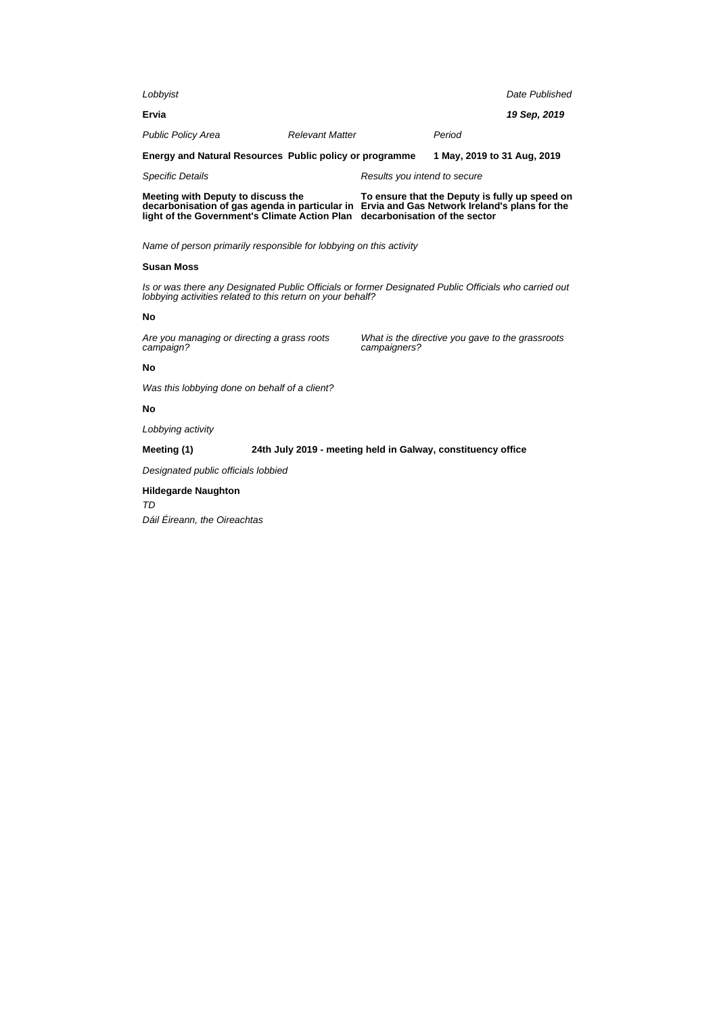| Lobbyist                                                                                                                                                            |                        |                                                                                |                                                  | Date Published |
|---------------------------------------------------------------------------------------------------------------------------------------------------------------------|------------------------|--------------------------------------------------------------------------------|--------------------------------------------------|----------------|
| Ervia                                                                                                                                                               |                        |                                                                                |                                                  | 19 Sep, 2019   |
| <b>Public Policy Area</b>                                                                                                                                           | <b>Relevant Matter</b> |                                                                                | Period                                           |                |
| Energy and Natural Resources Public policy or programme                                                                                                             |                        |                                                                                | 1 May, 2019 to 31 Aug, 2019                      |                |
| <b>Specific Details</b>                                                                                                                                             |                        | Results you intend to secure                                                   |                                                  |                |
| Meeting with Deputy to discuss the<br>decarbonisation of gas agenda in particular in<br>light of the Government's Climate Action Plan                               |                        | Ervia and Gas Network Ireland's plans for the<br>decarbonisation of the sector | To ensure that the Deputy is fully up speed on   |                |
| Name of person primarily responsible for lobbying on this activity                                                                                                  |                        |                                                                                |                                                  |                |
| <b>Susan Moss</b>                                                                                                                                                   |                        |                                                                                |                                                  |                |
| Is or was there any Designated Public Officials or former Designated Public Officials who carried out<br>lobbying activities related to this return on your behalf? |                        |                                                                                |                                                  |                |
| No                                                                                                                                                                  |                        |                                                                                |                                                  |                |
| Are you managing or directing a grass roots<br>campaign?                                                                                                            |                        | campaigners?                                                                   | What is the directive you gave to the grassroots |                |
| No                                                                                                                                                                  |                        |                                                                                |                                                  |                |
| Was this lobbying done on behalf of a client?                                                                                                                       |                        |                                                                                |                                                  |                |
| No                                                                                                                                                                  |                        |                                                                                |                                                  |                |

Lobbying activity

**Meeting (1) 24th July 2019 - meeting held in Galway, constituency office**

Designated public officials lobbied

## **Hildegarde Naughton**

TD

Dáil Éireann, the Oireachtas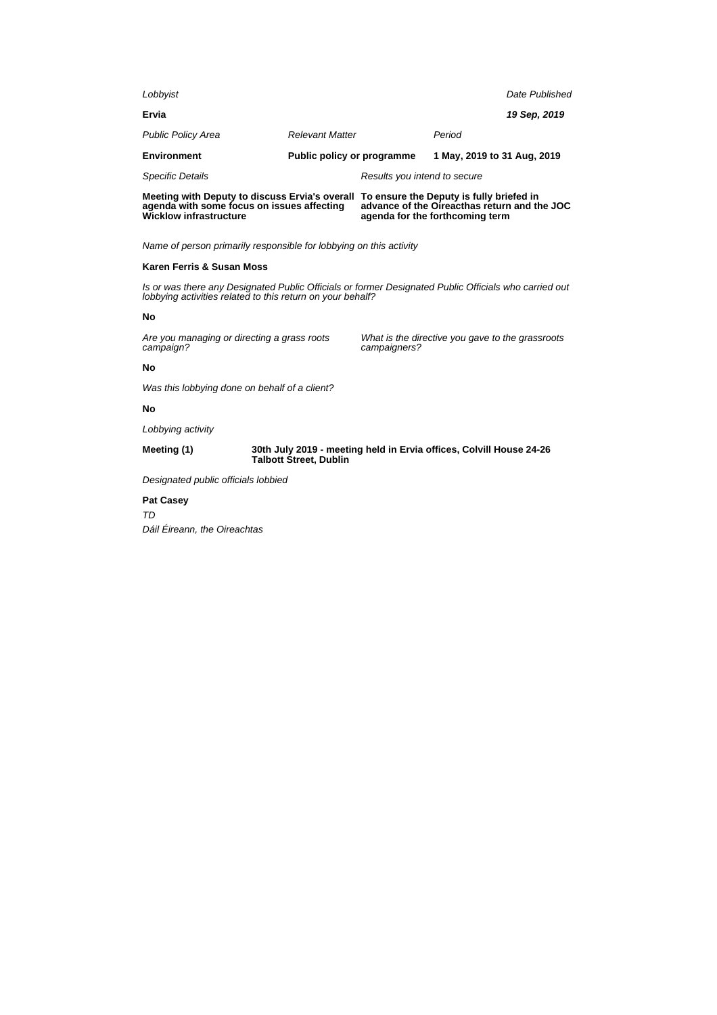| Lobbyist                                                                                |                            |                              | Date Published |
|-----------------------------------------------------------------------------------------|----------------------------|------------------------------|----------------|
| Ervia                                                                                   |                            |                              | 19 Sep. 2019   |
| <b>Public Policy Area</b>                                                               | <b>Relevant Matter</b>     | Period                       |                |
| <b>Environment</b>                                                                      | Public policy or programme | 1 May, 2019 to 31 Aug, 2019  |                |
| <b>Specific Details</b>                                                                 |                            | Results you intend to secure |                |
| Meeting with Deputy to discuss Ervia's overall To ensure the Deputy is fully briefed in |                            |                              |                |

**agenda with some focus on issues affecting advance of the Oireacthas return and the JOC agenda for the forthcoming term**

Name of person primarily responsible for lobbying on this activity

### **Karen Ferris & Susan Moss**

**Wicklow infrastructure**

Is or was there any Designated Public Officials or former Designated Public Officials who carried out lobbying activities related to this return on your behalf?

#### **No**

Are you managing or directing a grass roots campaign?

What is the directive you gave to the grassroots campaigners?

#### **No**

Was this lobbying done on behalf of a client?

### **No**

Lobbying activity

**Meeting (1) 30th July 2019 - meeting held in Ervia offices, Colvill House 24-26 Talbott Street, Dublin**

Designated public officials lobbied

#### **Pat Casey**

TD Dáil Éireann, the Oireachtas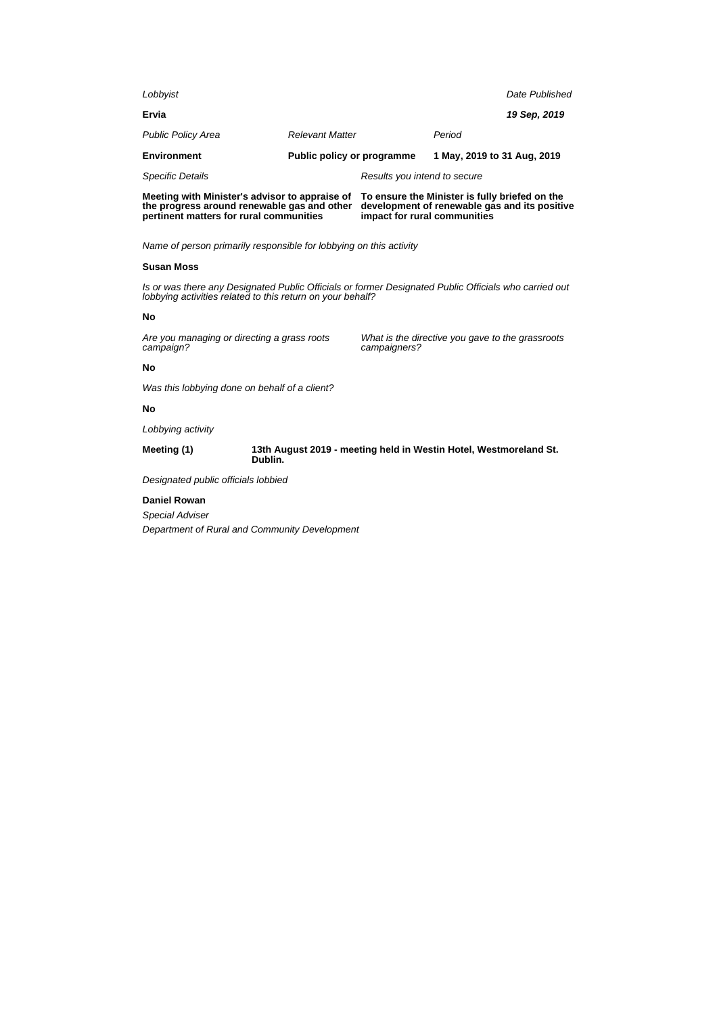| Lobbyist                                                                                      |                              | Date Published              |
|-----------------------------------------------------------------------------------------------|------------------------------|-----------------------------|
| Ervia                                                                                         |                              | 19 Sep. 2019                |
| <b>Public Policy Area</b>                                                                     | <b>Relevant Matter</b>       | Period                      |
| <b>Environment</b>                                                                            | Public policy or programme   | 1 May, 2019 to 31 Aug, 2019 |
| <b>Specific Details</b>                                                                       | Results you intend to secure |                             |
| Meeting with Minister's advisor to appraise of To ensure the Minister is fully briefed on the |                              |                             |

**the progress around renewable gas and other pertinent matters for rural communities development of renewable gas and its positive impact for rural communities**

Name of person primarily responsible for lobbying on this activity

### **Susan Moss**

Is or was there any Designated Public Officials or former Designated Public Officials who carried out lobbying activities related to this return on your behalf?

#### **No**

Are you managing or directing a grass roots campaign?

What is the directive you gave to the grassroots campaigners?

#### **No**

Was this lobbying done on behalf of a client?

### **No**

Lobbying activity

**Meeting (1) 13th August 2019 - meeting held in Westin Hotel, Westmoreland St. Dublin.**

Designated public officials lobbied

### **Daniel Rowan**

Special Adviser Department of Rural and Community Development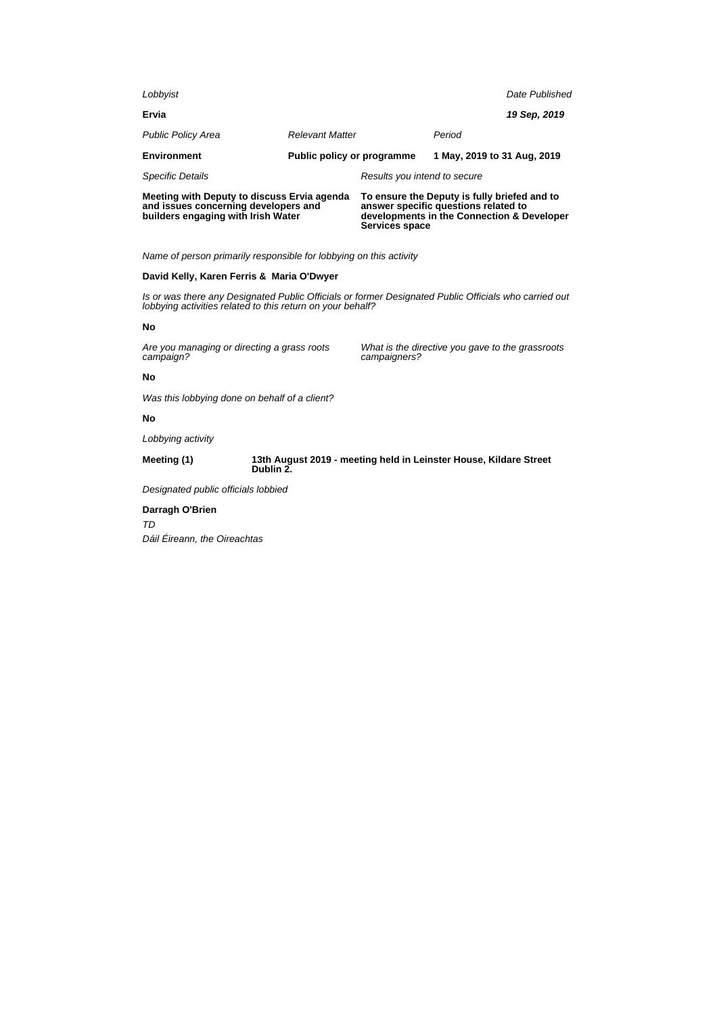| Lobbyist                                                                                                                  |                                   |                                                                                                                                                      |                             | Date Published |
|---------------------------------------------------------------------------------------------------------------------------|-----------------------------------|------------------------------------------------------------------------------------------------------------------------------------------------------|-----------------------------|----------------|
| Ervia                                                                                                                     |                                   |                                                                                                                                                      |                             | 19 Sep, 2019   |
| <b>Public Policy Area</b>                                                                                                 | <b>Relevant Matter</b>            |                                                                                                                                                      | Period                      |                |
| <b>Environment</b>                                                                                                        | <b>Public policy or programme</b> |                                                                                                                                                      | 1 May, 2019 to 31 Aug, 2019 |                |
| <b>Specific Details</b>                                                                                                   |                                   | Results you intend to secure                                                                                                                         |                             |                |
| Meeting with Deputy to discuss Ervia agenda<br>and issues concerning developers and<br>builders engaging with Irish Water |                                   | To ensure the Deputy is fully briefed and to<br>answer specific questions related to<br>developments in the Connection & Developer<br>Services space |                             |                |

Name of person primarily responsible for lobbying on this activity

## **David Kelly, Karen Ferris & Maria O'Dwyer**

Is or was there any Designated Public Officials or former Designated Public Officials who carried out lobbying activities related to this return on your behalf?

#### **No**

Are you managing or directing a grass roots campaign?

What is the directive you gave to the grassroots campaigners?

## **No**

Was this lobbying done on behalf of a client?

## **No**

Lobbying activity

#### **Meeting (1) 13th August 2019 - meeting held in Leinster House, Kildare Street Dublin 2.**

Designated public officials lobbied

## **Darragh O'Brien**

TD

Dáil Éireann, the Oireachtas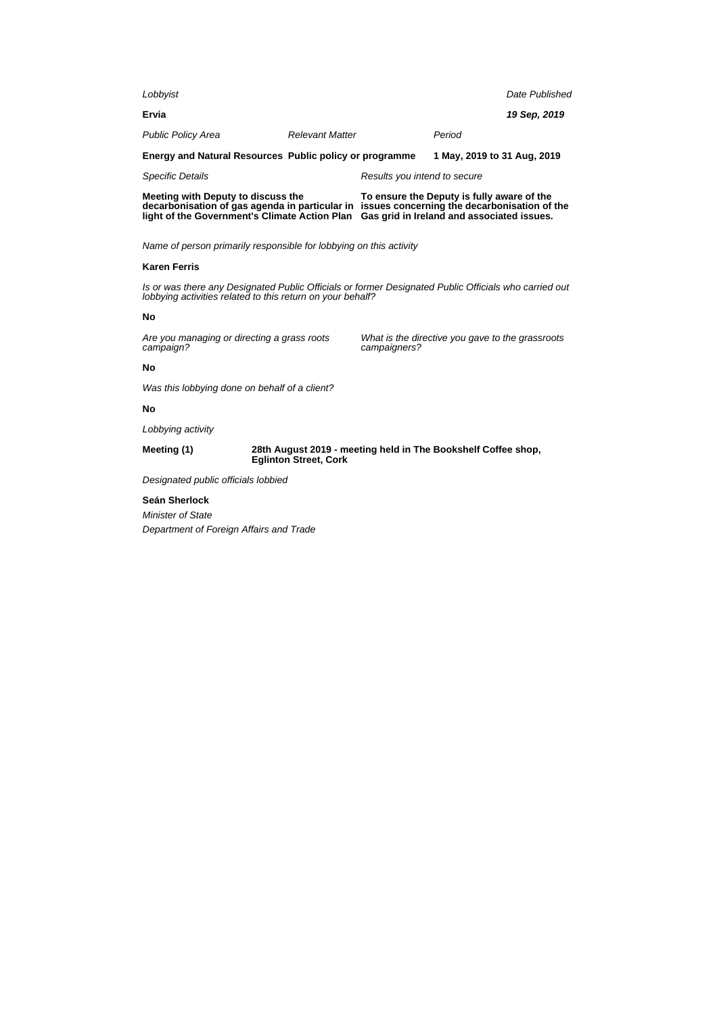| Lobbyist                                                                                                                                                                                                                                                                          |                        |                              |                                                  | Date Published |  |
|-----------------------------------------------------------------------------------------------------------------------------------------------------------------------------------------------------------------------------------------------------------------------------------|------------------------|------------------------------|--------------------------------------------------|----------------|--|
| Ervia                                                                                                                                                                                                                                                                             |                        |                              |                                                  | 19 Sep, 2019   |  |
| <b>Public Policy Area</b>                                                                                                                                                                                                                                                         | <b>Relevant Matter</b> |                              | Period                                           |                |  |
| Energy and Natural Resources Public policy or programme                                                                                                                                                                                                                           |                        |                              | 1 May, 2019 to 31 Aug, 2019                      |                |  |
| <b>Specific Details</b>                                                                                                                                                                                                                                                           |                        | Results you intend to secure |                                                  |                |  |
| Meeting with Deputy to discuss the<br>To ensure the Deputy is fully aware of the<br>decarbonisation of gas agenda in particular in<br>issues concerning the decarbonisation of the<br>light of the Government's Climate Action Plan<br>Gas grid in Ireland and associated issues. |                        |                              |                                                  |                |  |
| Name of person primarily responsible for lobbying on this activity                                                                                                                                                                                                                |                        |                              |                                                  |                |  |
| <b>Karen Ferris</b>                                                                                                                                                                                                                                                               |                        |                              |                                                  |                |  |
| Is or was there any Designated Public Officials or former Designated Public Officials who carried out<br>lobbying activities related to this return on your behalf?                                                                                                               |                        |                              |                                                  |                |  |
| No                                                                                                                                                                                                                                                                                |                        |                              |                                                  |                |  |
| Are you managing or directing a grass roots<br>campaign?                                                                                                                                                                                                                          |                        | campaigners?                 | What is the directive you gave to the grassroots |                |  |
| No                                                                                                                                                                                                                                                                                |                        |                              |                                                  |                |  |
|                                                                                                                                                                                                                                                                                   |                        |                              |                                                  |                |  |

Was this lobbying done on behalf of a client?

### **No**

Lobbying activity

**Meeting (1) 28th August 2019 - meeting held in The Bookshelf Coffee shop, Eglinton Street, Cork**

Designated public officials lobbied

### **Seán Sherlock**

Minister of State Department of Foreign Affairs and Trade